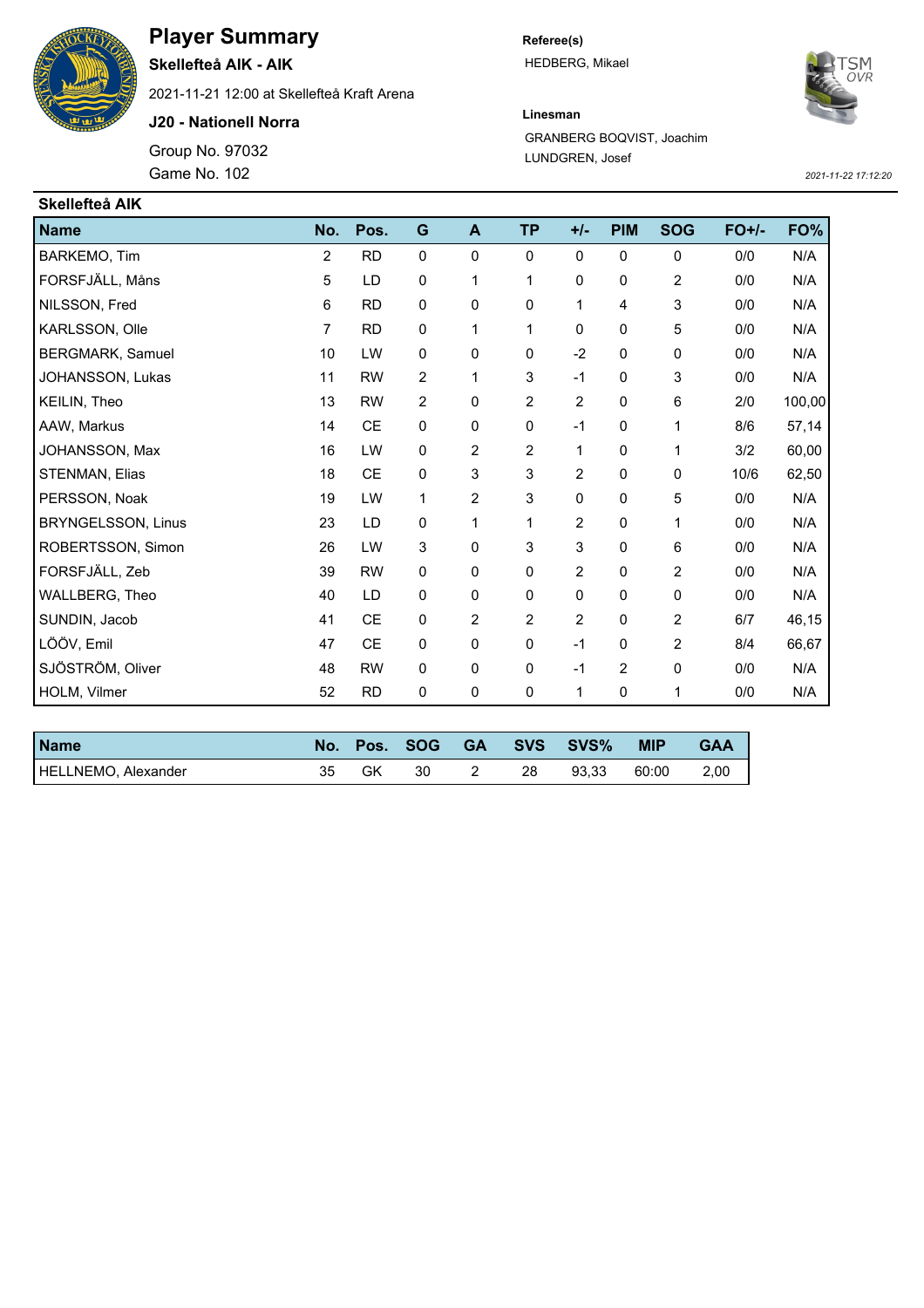

## **Player Summary**

**Skellefteå AIK - AIK**

2021-11-21 12:00 at Skellefteå Kraft Arena

**J20 - Nationell Norra**

Group No. 97032 Game No. 102 *2021-11-22 17:12:20*

**Referee(s)** HEDBERG, Mikael



## **Linesman**

GRANBERG BOQVIST, Joachim LUNDGREN, Josef

| Skellefteå AIK            |                |               |                |                |                |                |                |             |         |        |
|---------------------------|----------------|---------------|----------------|----------------|----------------|----------------|----------------|-------------|---------|--------|
| <b>Name</b>               | No.            | Pos.          | G              | A              | <b>TP</b>      | $+/-$          | <b>PIM</b>     | <b>SOG</b>  | $FO+/-$ | FO%    |
| BARKEMO, Tim              | $\overline{2}$ | <b>RD</b>     | $\mathbf 0$    | 0              | 0              | $\Omega$       | $\mathbf 0$    | $\mathbf 0$ | 0/0     | N/A    |
| FORSFJÄLL, Måns           | 5              | LD            | 0              | 1              | 1              | 0              | 0              | 2           | 0/0     | N/A    |
| NILSSON, Fred             | 6              | <b>RD</b>     | $\mathbf 0$    | 0              | 0              | 1              | 4              | 3           | 0/0     | N/A    |
| KARLSSON, Olle            | $\overline{7}$ | <b>RD</b>     | $\mathbf 0$    | 1              | 1              | 0              | $\pmb{0}$      | 5           | 0/0     | N/A    |
| BERGMARK, Samuel          | 10             | LW            | $\mathbf 0$    | 0              | 0              | $-2$           | 0              | $\mathbf 0$ | 0/0     | N/A    |
| JOHANSSON, Lukas          | 11             | <b>RW</b>     | $\overline{2}$ | 1              | 3              | $-1$           | 0              | 3           | 0/0     | N/A    |
| KEILIN, Theo              | 13             | <b>RW</b>     | $\overline{c}$ | 0              | 2              | $\overline{2}$ | 0              | $\,6\,$     | 2/0     | 100,00 |
| AAW, Markus               | 14             | CE            | $\mathbf 0$    | 0              | 0              | $-1$           | 0              | 1           | 8/6     | 57,14  |
| JOHANSSON, Max            | 16             | LW            | $\mathbf 0$    | $\overline{2}$ | $\overline{2}$ | 1              | 0              | 1           | 3/2     | 60,00  |
| STENMAN, Elias            | 18             | $\mathsf{CE}$ | $\pmb{0}$      | 3              | 3              | $\overline{2}$ | 0              | $\mathbf 0$ | 10/6    | 62,50  |
| PERSSON, Noak             | 19             | LW            | 1              | $\overline{2}$ | 3              | 0              | 0              | 5           | 0/0     | N/A    |
| <b>BRYNGELSSON, Linus</b> | 23             | LD            | $\pmb{0}$      | 1              | 1              | $\overline{2}$ | 0              | 1           | 0/0     | N/A    |
| ROBERTSSON, Simon         | 26             | LW            | 3              | $\Omega$       | 3              | 3              | 0              | 6           | 0/0     | N/A    |
| FORSFJÄLL, Zeb            | 39             | <b>RW</b>     | $\mathbf 0$    | 0              | 0              | $\overline{2}$ | 0              | 2           | 0/0     | N/A    |
| WALLBERG, Theo            | 40             | LD            | $\mathbf 0$    | 0              | 0              | 0              | 0              | $\mathbf 0$ | 0/0     | N/A    |
| SUNDIN, Jacob             | 41             | $\mathsf{CE}$ | $\pmb{0}$      | 2              | 2              | $\overline{2}$ | 0              | 2           | 6/7     | 46,15  |
| LÖÖV, Emil                | 47             | <b>CE</b>     | $\mathbf 0$    | 0              | 0              | $-1$           | $\mathbf 0$    | 2           | 8/4     | 66,67  |
| SJÖSTRÖM, Oliver          | 48             | <b>RW</b>     | $\pmb{0}$      | 0              | 0              | $-1$           | $\overline{2}$ | $\pmb{0}$   | 0/0     | N/A    |
| HOLM, Vilmer              | 52             | <b>RD</b>     | $\mathbf 0$    | 0              | 0              | 1              | 0              | 1           | 0/0     | N/A    |

| <b>Name</b>         |    |    | No. Pos. SOG |    | GA SVS SVS% | <b>MIP</b> | GAA  |
|---------------------|----|----|--------------|----|-------------|------------|------|
| HELLNEMO, Alexander | 35 | GK | 30           | 28 | 93.33       | 60:00      | 2.00 |